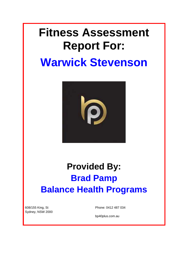# **Fitness Assessment Report For:**

# **Warwick Stevenson**



# **Provided By: Brad Pamp Balance Health Programs**

608/155 King, St Sydney, NSW 2000 Phone: 0412 487 034

bp40plus.com.au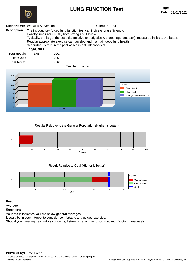# **LUNG FUNCTION Test**



#### **Description:** The introductory forced lung function test can indicate lung efficiency. Healthy lungs are usually both strong and flexible. Typically, the larger the capacity (relative to body size & shape, age, and sex), measured in litres, the better. Regular appropriate exercise can develop and maintain good lung health. See further details in the post-assessment link provided. **Test Result: Test Goal: 15/02/2021** 2.45 VO2 3 VO2 **Test Norm:** 3 VO2 **Test Information** 0.5 1 1.5 2 2.5 3 3.5 VO2 Legend Client Result Client Goal Average Australian Result

**Results Relative to the General Population (Higher is better)**

15/02/2021 <sup>0</sup>

**Client Name:** Warwick Stevenson **Client Id:** 334



**Result Relative to Goal (Higher is better)**



**Result:**

Average

**Summary:**

Your result indicates you are below general averages.

It could be in your interest to consider comfortable and guided exercise.

Should you have any respiratory concerns, I strongly recommend you visit your Doctor immediately.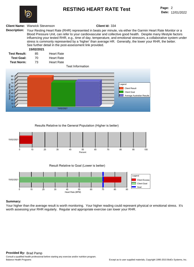

## **RESTING HEART RATE Test**

#### **Client Name:** Warwick Stevenson **Client Id:** 334

**Description:** Your Resting Heart Rate (RHR) represented in beats per minute, via either the Garmin Heart Rate Monitor or a Blood Pressure Unit, can refer to your cardiovascular and collective good health. Despite many lifestyle factors influencing your tested RHR, e.g., time of day, temperature, and emotional stressors, a collaborative system under stress is commonly represented by a 'higher' than average HR. Generally, the lower your RHR, the better. See further detail in the post-assessment link provided.

#### **15/02/2021**

| <b>Test Result:</b> | 85  | <b>Heart Rate</b> |
|---------------------|-----|-------------------|
| <b>Test Goal:</b>   | 70. | <b>Heart Rate</b> |
| <b>Test Norm:</b>   | 73. | <b>Heart Rate</b> |

#### **Test Information**



**Results Relative to the General Population (Higher is better)**



**Result Relative to Goal (Lower is better)**



#### **Summary:**

Your higher than the average result is worth monitoring. Your higher reading could represent physical or emotional stress. It's worth assessing your RHR regularly. Regular and appropriate exercise can lower your RHR.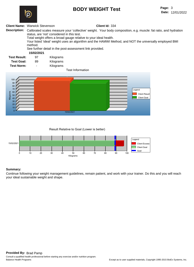## **BODY WEIGHT Test**



### **Client Name:** Warwick Stevenson **Client Id:** 334

- **Description:** Calibrated scales measure your 'collective' weight. Your body composition, e.g. muscle: fat ratio, and hydration status, are 'not' considered in this test.
	- Total weight offers a broad gauge relative to your ideal health.

Your listed 'ideal' weight uses an algorithm and the HAMWI Method, and NOT the universally employed BMI method.

See further detail in the post-assessment link provided.

#### **15/02/2021**

| <b>Test Result:</b> | 97 | Kilograms |
|---------------------|----|-----------|
| <b>Test Goal:</b>   | 89 | Kilograms |
| <b>Test Norm:</b>   | -  | Kilograms |

#### **Test Information**



**Result Relative to Goal (Lower is better)**



### **Summary:**

Continue following your weight management guidelines, remain patient, and work with your trainer. Do this and you will reach your ideal sustainable weight and shape.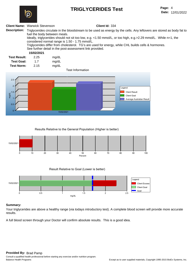# **TRIGLYCERIDES Test**



**Date:** 12/01/2022 Page: 4

#### **Client Name:** Warwick Stevenson **Client Id:** 334

**Description:** Triglycerides circulate in the bloodstream to be used as energy by the cells. Any leftovers are stored as body fat to fuel the body between meals. Ideally, triglycerides should not sit too low, e.g. <1.50 mmol/L, or too high, e.g.>2.29 mmol/L. While n=1, the considered normal range is 1.50 - 1.75 mmol/L. Triglycerides differ from cholesterol. TG's are used for energy, while CHL builds cells & hormones. See further detail in the post-assessment link provided.

#### **15/02/2021**

| <b>Test Result:</b> | 2.25 | mg/dL |
|---------------------|------|-------|
| <b>Test Goal:</b>   | 1.7  | mg/dL |
| <b>Test Norm:</b>   | 2.15 | mg/dL |

**Test Information**



**Results Relative to the General Population (Higher is better)**



**Result Relative to Goal (Lower is better)**



#### **Summary:**

Your triglycerides are above a healthy range (via todays introductory test). A complete blood screen will provide more accurate results.

A full blood screen through your Doctor will confirm absolute results. This is a good idea.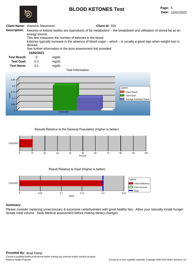# **BLOOD KETONES Test**



### **Client Name:** Warwick Stevenson **Client Id:** 334

**Description:** Ketones or ketone bodies are byproducts of fat metabolism – the breakdown and utilisation of stored fat as an energy source. This test measures the number of ketones in the blood. Ketones typically increase in the absence of blood sugar – which – is usually a good sign when weight loss is desired.

See further information in the post-assessment link provided.

#### **15/02/2021**

| <b>Test Result:</b> | 0   | mg/dL |
|---------------------|-----|-------|
| <b>Test Goal:</b>   | 0.2 | mg/dL |
| <b>Test Norm:</b>   | 0.1 | mg/dL |

**Test Information**



**Results Relative to the General Population (Higher is better)**



**Result Relative to Goal (Higher is better)**



### **Summary:**

Please consider replacing unneccessary & excessive carbohydrates with good healthy fats. Allow your naturally innate hunger dictate meal volume. Seek Medical assessment before making dietary changes.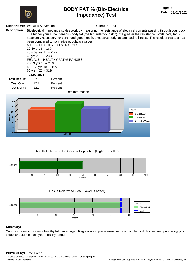

## **BODY FAT % (Bio-Electrical Impedance) Test**

**Page:** 6 **Date:** 12/01/2022

#### **Client Name:** Warwick Stevenson **Client Id:** 334

**Description:** Bioelectrical impedance scales work by measuring the resistance of electrical currents passing through your body. The higher your sub-cutaneous body fat (the fat under your skin), the greater the resistance. While body fat is absolutely necessary for continued good health, excessive body fat can lead to illness. The result of this test has been compared to normative population values. MALE – HEALTHY FAT % RANGES 20-39 yrs 8 – 18% 40 – 59 yrs 11 – 21% 60 yrs  $> 13 - 23%$ FEMALE – HEALTHY FAT % RANGES 20-39 yrs 15 – 23% 40 – 59 yrs 18 – 28% 60 yrs  $> 21 - 31\%$ **Test Result: Test Goal: 15/02/2021** 22.1 Percent 27.7 Percent **Test Norm:** 22.7 Percent **Test Information**



### **Results Relative to the General Population (Higher is better)**



**Result Relative to Goal (Lower is better)**



#### **Summary:**

Your test result indicates a healthy fat percentage. Regular appropriate exercise, good whole food choices, and prioritising your sleep, should maintain your healthy range.

#### **Provided By:** Brad Pamp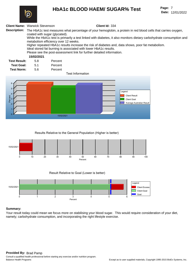## **HbA1c BLOOD HAEM/ SUGAR% Test**

**Date:** 12/01/2022 Page: 7



### **Client Name:** Warwick Stevenson **Client Id:** 334

**Description:** The HbA1c test measures what percentage of your hemoglobin, a protein in red blood cells that carries oxygen, coated with sugar (glycated). While the HbA1c test is primarily a test linked with diabetes, it also monitors dietary carbohydrate consumption and metabolism efficiency over 12 weeks. Higher repeated HbA1c results increase the risk of diabetes and, data shows, poor fat metabolism. Ideal stored fat burning is associated with lower HbA1c results. Please see the post-assessment link for further detailed information. **Test Result: Test Goal: 15/02/2021** 5.8 Percent 5.1 Percent **Test Norm:** 5.6 Percent





**Results Relative to the General Population (Higher is better)**



**Result Relative to Goal (Lower is better)**



#### **Summary:**

Your result today could mean we focus more on stabilising your blood sugar. This would require consideration of your diet, namely; carbohydrate consumption, and incorporating the right lifestyle exercise.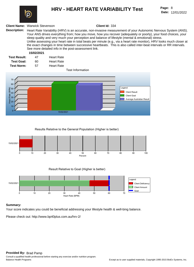

## **HRV - HEART RATE VARIABILITY Test Page:**

**Date:** 12/01/2022 Page: 8

#### **Client Name:** Warwick Stevenson **Client Id:** 334

**Description:** Heart Rate Variability (HRV) is an accurate, non-invasive measurement of your Autonomic Nervous System (ANS). Your ANS drives everything from; how you move, how you recover (adequately or poorly), your food choices, your sleep quality and very much your perception and balance of lifestyle (mental & emotional) stress. Unlike assessing your heart rate in total beats per minute (e.g., via a heart rate monitor), HRV looks much closer at the exact changes in time between successive heartbeats. This is also called inter-beat intervals or RR intervals. See more detailed info in the post-assessment link.

#### **15/02/2021**

| <b>Test Result:</b> | 47 | <b>Heart Rate</b> |
|---------------------|----|-------------------|
| <b>Test Goal:</b>   | 60 | <b>Heart Rate</b> |
| <b>Test Norm:</b>   | 57 | <b>Heart Rate</b> |

#### **Test Information**



#### **Results Relative to the General Population (Higher is better)**



**Result Relative to Goal (Higher is better)**



#### **Summary:**

Your score indicates you could be beneficial addressing your lifestyle health & well-bing balance.

Please check out: http://www.bp40plus.com.au/hrv-2/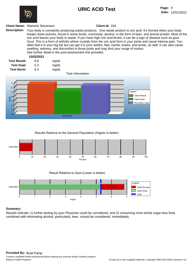# **URIC ACID Test**



#### **Client Name:** Warwick Stevenson **Client Id:** 334

**Description:** Your body is constantly producing waste products. One waste product is uric acid. It's formed when your body breaks down purines, found in some foods; commonly, alcohol, in the form of beer, and animal protein. Most of the uric acid leaves your body in waste. If you have high uric acid levels, it can be a sign of disease such as gout. Gout: This is a form of arthritis where crystals from the uric acid form in your joints and cause intense pain. You often feel it in your big toe but can get it in your ankles, feet, hands, knees, and wrists, as well. It can also cause swelling, redness, and discomfort in those joints and may limit your range of motion. See further detail in the post-assessment link provided.

## **15/02/2021**

| <b>Test Result:</b> | 6.8 | mg/dL |  |
|---------------------|-----|-------|--|
| <b>Test Goal:</b>   | 5.3 | mg/dL |  |
| Test Norm:          | 6.4 | mg/dL |  |

#### **Test Information**



#### **Results Relative to the General Population (Higher is better)**







#### **Summary:**

Results indicate; 1) further testing by your Physician could be considered, and 2) consuming more whole sugar-less food, combined with eliminating alcohol, particularly, beer, should be considered, immediately.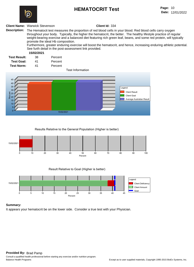# **HEMATOCRIT Test**



#### **Client Name:** Warwick Stevenson **Client Id:** 334

**Description:** The Hematocit test measures the proportion of red blood cells in your blood. Red blood cells carry oxygen throughout your body. Typically, the higher the hematocrit, the better. The healthy lifestyle practice of regular weight-bearing exercise and a balanced diet featuring rich green leaf, beans, and some red protein, will typically promote the ideal Hb composition.

Furthermore, greater enduring exercise will boost the hematocrit, and hence, increasing enduring athletic potential. See furth detail in the post-assessment link provided.

#### **15/02/2021**

| <b>Test Result:</b> | 38 | Percent |
|---------------------|----|---------|
| <b>Test Goal:</b>   | 41 | Percent |

**Test Norm:** 41 Percent

#### **Test Information**



**Results Relative to the General Population (Higher is better)**



**Result Relative to Goal (Higher is better)**



#### **Summary:**

It appears your hematocrit be on the lower side. Consider a true test with your Physician.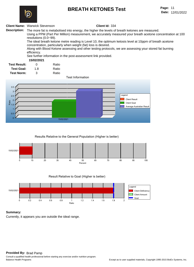## **BREATH KETONES Test**



**Date:** 12/01/2022 Page: 11

#### **Client Name:** Warwick Stevenson **Client Id:** 334

**Description:** The more fat is metabolised into energy, the higher the levels of breath ketones are measured. Using a PPM (Part Per Million) measurement, we accurately measured your breath acetone concentration at 100 resolutions (0.0~99). The ideal breath ketone metre reading is Level 10, the optimum ketosis level at 10ppm of breath acetone concentration, particularly when weight (fat) loss is desired.

> Along with Blood Ketone assessing and other testing protocols, we are assessing your stored fat burning efficiency.

See further information in the post-assessment link provided.

### **15/02/2021**

| <b>Test Result:</b> | O   | Ratio |
|---------------------|-----|-------|
| <b>Test Goal:</b>   | 1.8 | Ratio |
| <b>Test Norm:</b>   | З   | Ratio |

**Test Information**



#### **Results Relative to the General Population (Higher is better)**



**Result Relative to Goal (Higher is better)**



#### **Summary:**

Currently, it appears you are outside the ideal range.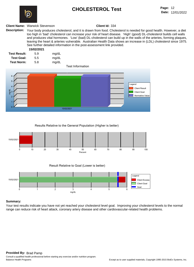# **CHOLESTEROL Test**



#### **Client Name:** Warwick Stevenson **Client Id:** 334

**Description:** Your body produces cholesterol, and it is drawn from food. Cholesterol is needed for good health. However, a diet too high in 'bad' cholesterol can increase your risk of heart disease. 'High' (good) DL-cholesterol builds cell walls and produces vital hormones. 'Low' (bad) DL-cholesterol can build up in the walls of the arteries, forming plaques, leaving the heart & arteries vulnerable. Australian Health Data shows an increase in (LDL) cholesterol since 1975. See further detailed information in the post-assessment link provided.

#### **15/02/2021**

| <b>Test Result:</b> | 5.9 | mg/dL |
|---------------------|-----|-------|
| <b>Test Goal:</b>   | 5.5 | mg/dL |
| <b>Test Norm:</b>   | 5.8 | mg/dL |

#### **Test Information**



#### **Results Relative to the General Population (Higher is better)**



**Result Relative to Goal (Lower is better)**



#### **Summary:**

Your test results indicate you have not yet reached your cholesterol level goal. Improving your cholesterol levels to the normal range can reduce risk of heart attack, coronary artery disease and other cardiovascular-related health problems.